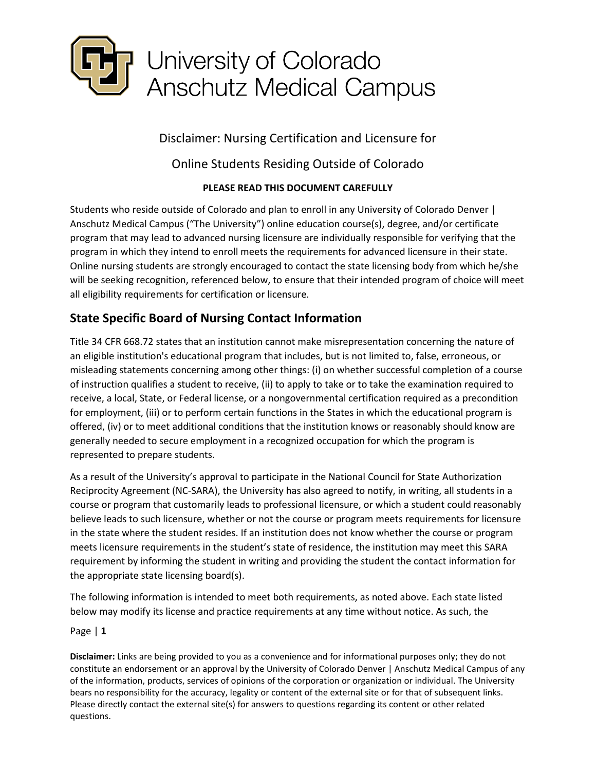

Disclaimer: Nursing Certification and Licensure for

# Online Students Residing Outside of Colorado

# **PLEASE READ THIS DOCUMENT CAREFULLY**

Students who reside outside of Colorado and plan to enroll in any University of Colorado Denver | Anschutz Medical Campus ("The University") online education course(s), degree, and/or certificate program that may lead to advanced nursing licensure are individually responsible for verifying that the program in which they intend to enroll meets the requirements for advanced licensure in their state. Online nursing students are strongly encouraged to contact the state licensing body from which he/she will be seeking recognition, referenced below, to ensure that their intended program of choice will meet all eligibility requirements for certification or licensure.

# **State Specific Board of Nursing Contact Information**

Title 34 CFR 668.72 states that an institution cannot make misrepresentation concerning the nature of an eligible institution's educational program that includes, but is not limited to, false, erroneous, or misleading statements concerning among other things: (i) on whether successful completion of a course of instruction qualifies a student to receive, (ii) to apply to take or to take the examination required to receive, a local, State, or Federal license, or a nongovernmental certification required as a precondition for employment, (iii) or to perform certain functions in the States in which the educational program is offered, (iv) or to meet additional conditions that the institution knows or reasonably should know are generally needed to secure employment in a recognized occupation for which the program is represented to prepare students.

As a result of the University's approval to participate in the National Council for State Authorization Reciprocity Agreement (NC-SARA), the University has also agreed to notify, in writing, all students in a course or program that customarily leads to professional licensure, or which a student could reasonably believe leads to such licensure, whether or not the course or program meets requirements for licensure in the state where the student resides. If an institution does not know whether the course or program meets licensure requirements in the student's state of residence, the institution may meet this SARA requirement by informing the student in writing and providing the student the contact information for the appropriate state licensing board(s).

The following information is intended to meet both requirements, as noted above. Each state listed below may modify its license and practice requirements at any time without notice. As such, the

Page | **1**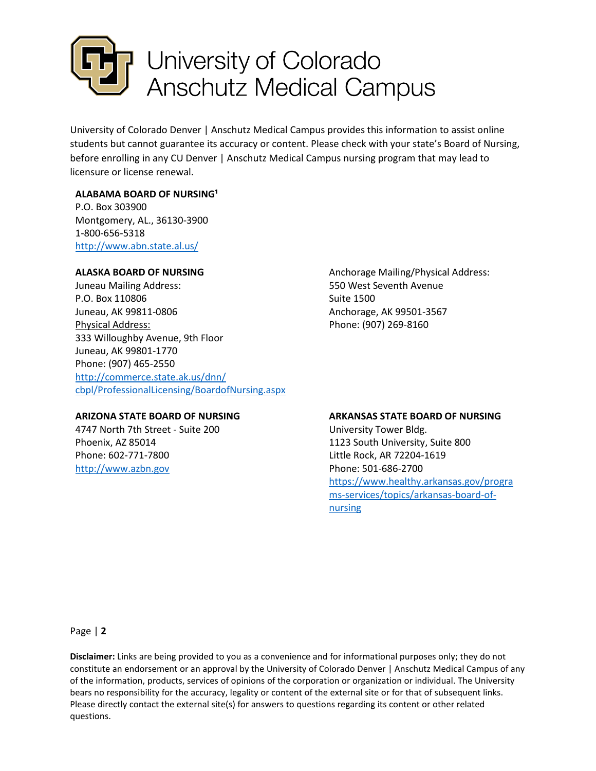

University of Colorado Denver | Anschutz Medical Campus provides this information to assist online students but cannot guarantee its accuracy or content. Please check with your state's Board of Nursing, before enrolling in any CU Denver | Anschutz Medical Campus nursing program that may lead to licensure or license renewal.

# **ALABAMA BOARD OF NURSING<sup>1</sup>**

P.O. Box 303900 Montgomery, AL., 36130-3900 1-800-656-5318 <http://www.abn.state.al.us/>

## **ALASKA BOARD OF NURSING**

Juneau Mailing Address: P.O. Box 110806 Juneau, AK 99811-0806 Physical Address: 333 Willoughby Avenue, 9th Floor Juneau, AK 99801-1770 Phone: (907) 465-2550 [http://commerce.state.ak.us/dnn/](http://commerce.state.ak.us/dnn/cbpl/ProfessionalLicensing/BoardofNursing.aspx) [cbpl/ProfessionalLicensing/BoardofNursing.aspx](http://commerce.state.ak.us/dnn/cbpl/ProfessionalLicensing/BoardofNursing.aspx) 

### **ARIZONA STATE BOARD OF NURSING**

4747 North 7th Street - Suite 200 Phoenix, AZ 85014 Phone: 602-771-7800 [http://www.azbn.gov](http://www.azbn.gov/) 

Anchorage Mailing/Physical Address: 550 West Seventh Avenue Suite 1500 Anchorage, AK 99501-3567 Phone: (907) 269-8160

### **ARKANSAS STATE BOARD OF NURSING**

University Tower Bldg. 1123 South University, Suite 800 Little Rock, AR 72204-1619 Phone: 501-686-2700 [https://www.healthy.arkansas.gov/progra](https://www.healthy.arkansas.gov/programs-services/topics/arkansas-board-of-nursing) [ms-services/topics/arkansas-board-of](https://www.healthy.arkansas.gov/programs-services/topics/arkansas-board-of-nursing)[nursing](https://www.healthy.arkansas.gov/programs-services/topics/arkansas-board-of-nursing)

Page | **2**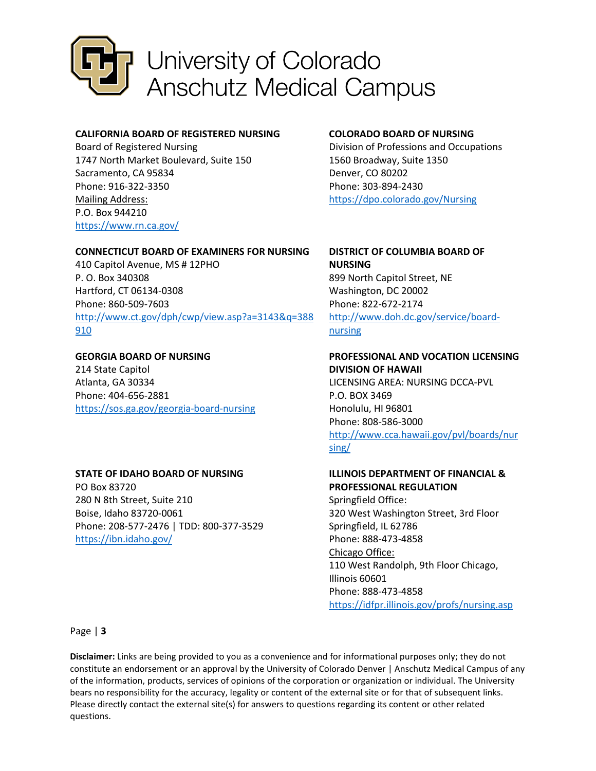

# **CALIFORNIA BOARD OF REGISTERED NURSING**

Board of Registered Nursing 1747 North Market Boulevard, Suite 150 Sacramento, CA 95834 Phone: 916-322-3350 Mailing Address: P.O. Box 944210 <https://www.rn.ca.gov/>

## **CONNECTICUT BOARD OF EXAMINERS FOR NURSING**

410 Capitol Avenue, MS # 12PHO P. O. Box 340308 Hartford, CT 06134-0308 Phone: 860-509-7603 [http://www.ct.gov/dph/cwp/view.asp?a=3143&q=388](http://www.ct.gov/dph/cwp/view.asp?a=3143&q=388910) [910](http://www.ct.gov/dph/cwp/view.asp?a=3143&q=388910) 

# **GEORGIA BOARD OF NURSING**  214 State Capitol Atlanta, GA 30334 Phone: 404-656-2881 <https://sos.ga.gov/georgia-board-nursing>

# **STATE OF IDAHO BOARD OF NURSING**

PO Box 83720 280 N 8th Street, Suite 210 Boise, Idaho 83720-0061 Phone: 208-577-2476 | TDD: 800-377-3529 <https://ibn.idaho.gov/>

### **COLORADO BOARD OF NURSING**

Division of Professions and Occupations 1560 Broadway, Suite 1350 Denver, CO 80202 Phone: 303-894-2430 <https://dpo.colorado.gov/Nursing>

#### **DISTRICT OF COLUMBIA BOARD OF NURSING**

899 North Capitol Street, NE Washington, DC 20002 Phone: 822-672-2174 [http://www.doh.dc.gov/service/board](http://www.doh.dc.gov/service/board-nursing)[nursing](http://www.doh.dc.gov/service/board-nursing) 

### **PROFESSIONAL AND VOCATION LICENSING DIVISION OF HAWAII**

LICENSING AREA: NURSING DCCA-PVL P.O. BOX 3469 Honolulu, HI 96801 Phone: 808-586-3000 [http://www.cca.hawaii.gov/pvl/boards/nur](http://www.cca.hawaii.gov/pvl/boards/nursing/) [sing/](http://www.cca.hawaii.gov/pvl/boards/nursing/) 

### **ILLINOIS DEPARTMENT OF FINANCIAL & PROFESSIONAL REGULATION**

Springfield Office: 320 West Washington Street, 3rd Floor Springfield, IL 62786 Phone: 888-473-4858 Chicago Office: 110 West Randolph, 9th Floor Chicago, Illinois 60601 Phone: 888-473-4858 <https://idfpr.illinois.gov/profs/nursing.asp>

Page | **3**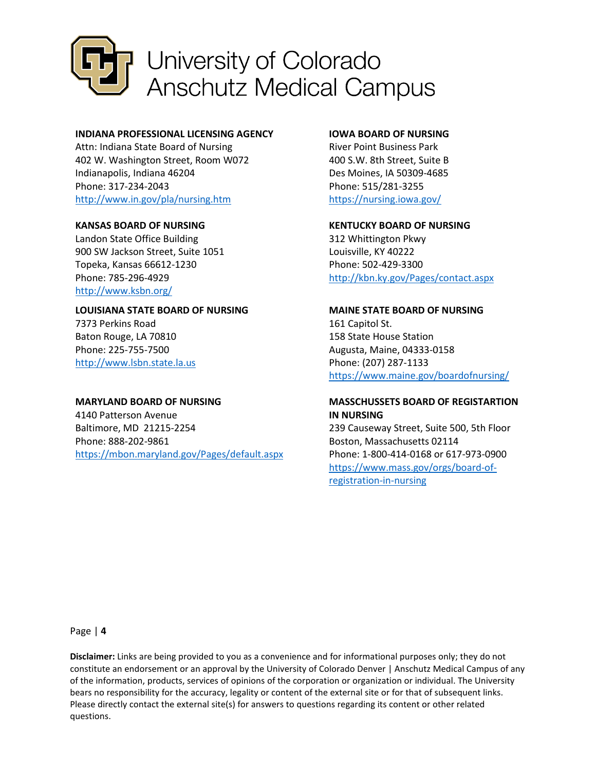

### **INDIANA PROFESSIONAL LICENSING AGENCY**

Attn: Indiana State Board of Nursing 402 W. Washington Street, Room W072 Indianapolis, Indiana 46204 Phone: 317-234-2043 <http://www.in.gov/pla/nursing.htm>

### **KANSAS BOARD OF NURSING**

Landon State Office Building 900 SW Jackson Street, Suite 1051 Topeka, Kansas 66612-1230 Phone: 785-296-4929 <http://www.ksbn.org/>

### **LOUISIANA STATE BOARD OF NURSING**

7373 Perkins Road Baton Rouge, LA 70810 Phone: 225-755-7500 [http://www.lsbn.state.la.us](http://www.lsbn.state.la.us/) 

### **MARYLAND BOARD OF NURSING**

4140 Patterson Avenue Baltimore, MD 21215-2254 Phone: 888-202-9861 <https://mbon.maryland.gov/Pages/default.aspx>

### **IOWA BOARD OF NURSING**

River Point Business Park 400 S.W. 8th Street, Suite B Des Moines, IA 50309-4685 Phone: 515/281-3255 <https://nursing.iowa.gov/>

#### **KENTUCKY BOARD OF NURSING**

312 Whittington Pkwy Louisville, KY 40222 Phone: 502-429-3300 <http://kbn.ky.gov/Pages/contact.aspx>

### **MAINE STATE BOARD OF NURSING**

161 Capitol St. 158 State House Station Augusta, Maine, 04333-0158 Phone: (207) 287-1133 <https://www.maine.gov/boardofnursing/>

# **MASSCHUSSETS BOARD OF REGISTARTION IN NURSING**

239 Causeway Street, Suite 500, 5th Floor Boston, Massachusetts 02114 Phone: 1-800-414-0168 or 617-973-0900 [https://www.mass.gov/orgs/board-of](https://www.mass.gov/orgs/board-of-registration-in-nursing)[registration-in-nursing](https://www.mass.gov/orgs/board-of-registration-in-nursing) 

Page | **4**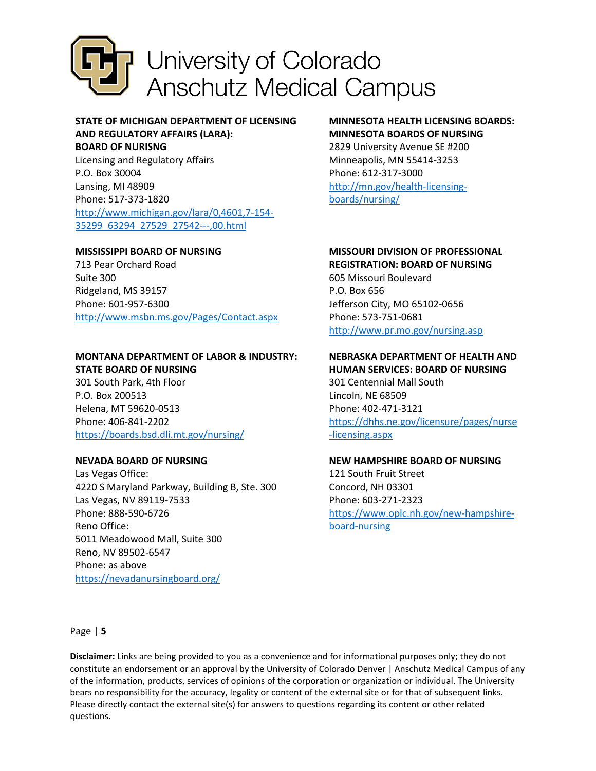

# **STATE OF MICHIGAN DEPARTMENT OF LICENSING AND REGULATORY AFFAIRS (LARA):**

**BOARD OF NURISNG**  Licensing and Regulatory Affairs P.O. Box 30004 Lansing, MI 48909 Phone: 517-373-1820 [http://www.michigan.gov/lara/0,4601,7-154-](http://www.michigan.gov/lara/0,4601,7-154-35299_63294_27529_27542---,00.html) [35299\\_63294\\_27529\\_27542---,00.html](http://www.michigan.gov/lara/0,4601,7-154-35299_63294_27529_27542---,00.html) 

## **MISSISSIPPI BOARD OF NURSING**

713 Pear Orchard Road Suite 300 Ridgeland, MS 39157 Phone: 601-957-6300 <http://www.msbn.ms.gov/Pages/Contact.aspx>

### **MONTANA DEPARTMENT OF LABOR & INDUSTRY: STATE BOARD OF NURSING**

301 South Park, 4th Floor P.O. Box 200513 Helena, MT 59620-0513 Phone: 406-841-2202 <https://boards.bsd.dli.mt.gov/nursing/>

# **NEVADA BOARD OF NURSING**

Las Vegas Office: 4220 S Maryland Parkway, Building B, Ste. 300 Las Vegas, NV 89119-7533 Phone: 888-590-6726 Reno Office: 5011 Meadowood Mall, Suite 300 Reno, NV 89502-6547 Phone: as above <https://nevadanursingboard.org/>

# **MINNESOTA HEALTH LICENSING BOARDS: MINNESOTA BOARDS OF NURSING**

2829 University Avenue SE #200 Minneapolis, MN 55414-3253 Phone: 612-317-3000 [http://mn.gov/health-licensing](http://mn.gov/health-licensing-boards/nursing/)[boards/nursing/](http://mn.gov/health-licensing-boards/nursing/) 

# **MISSOURI DIVISION OF PROFESSIONAL**

**REGISTRATION: BOARD OF NURSING** 

605 Missouri Boulevard P.O. Box 656 Jefferson City, MO 65102-0656 Phone: 573-751-0681 <http://www.pr.mo.gov/nursing.asp>

### **NEBRASKA DEPARTMENT OF HEALTH AND HUMAN SERVICES: BOARD OF NURSING**

301 Centennial Mall South Lincoln, NE 68509 Phone: 402-471-3121 [https://dhhs.ne.gov/licensure/pages/nurse](https://dhhs.ne.gov/licensure/pages/nurse-licensing.aspx) [-licensing.aspx](https://dhhs.ne.gov/licensure/pages/nurse-licensing.aspx) 

## **NEW HAMPSHIRE BOARD OF NURSING**

121 South Fruit Street Concord, NH 03301 Phone: 603-271-2323 [https://www.oplc.nh.gov/new-hampshire](https://www.oplc.nh.gov/new-hampshire-board-nursing)[board-nursing](https://www.oplc.nh.gov/new-hampshire-board-nursing)

Page | **5**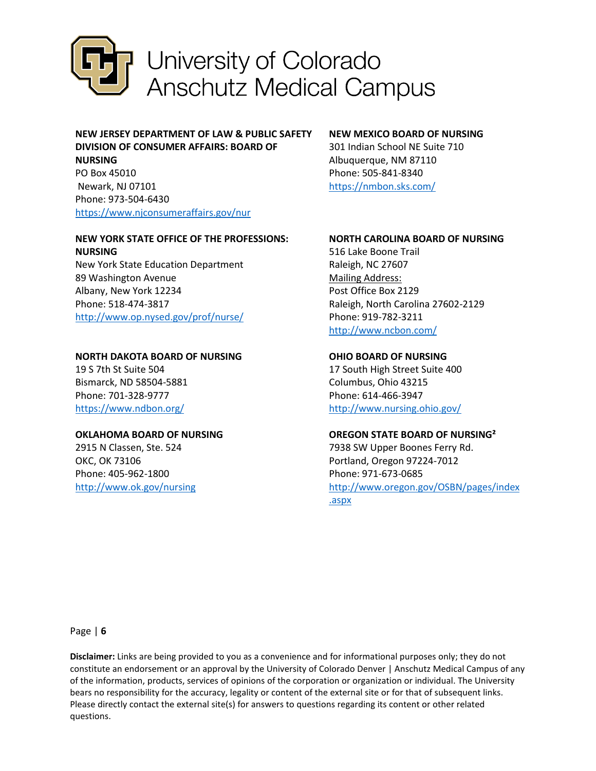

# **NEW JERSEY DEPARTMENT OF LAW & PUBLIC SAFETY DIVISION OF CONSUMER AFFAIRS: BOARD OF NURSING**

PO Box 45010 Newark, NJ 07101 Phone: 973-504-6430 <https://www.njconsumeraffairs.gov/nur>

### **NEW YORK STATE OFFICE OF THE PROFESSIONS: NURSING**

New York State Education Department 89 Washington Avenue Albany, New York 12234 Phone: 518-474-3817 <http://www.op.nysed.gov/prof/nurse/>

# **NORTH DAKOTA BOARD OF NURSING**

19 S 7th St Suite 504 Bismarck, ND 58504-5881 Phone: 701-328-9777 <https://www.ndbon.org/>

## **OKLAHOMA BOARD OF NURSING**

2915 N Classen, Ste. 524 OKC, OK 73106 Phone: 405-962-1800 <http://www.ok.gov/nursing>

# **NEW MEXICO BOARD OF NURSING**

301 Indian School NE Suite 710 Albuquerque, NM 87110 Phone: 505-841-8340 <https://nmbon.sks.com/>

# **NORTH CAROLINA BOARD OF NURSING**

516 Lake Boone Trail Raleigh, NC 27607 Mailing Address: Post Office Box 2129 Raleigh, North Carolina 27602-2129 Phone: 919-782-3211 <http://www.ncbon.com/>

# **OHIO BOARD OF NURSING**

17 South High Street Suite 400 Columbus, Ohio 43215 Phone: 614-466-3947 <http://www.nursing.ohio.gov/>

# **OREGON STATE BOARD OF NURSING²**

7938 SW Upper Boones Ferry Rd. Portland, Oregon 97224-7012 Phone: 971-673-0685 [http://www.oregon.gov/OSBN/pages/index](http://www.oregon.gov/OSBN/pages/index.aspx) [.aspx](http://www.oregon.gov/OSBN/pages/index.aspx) 

Page | **6**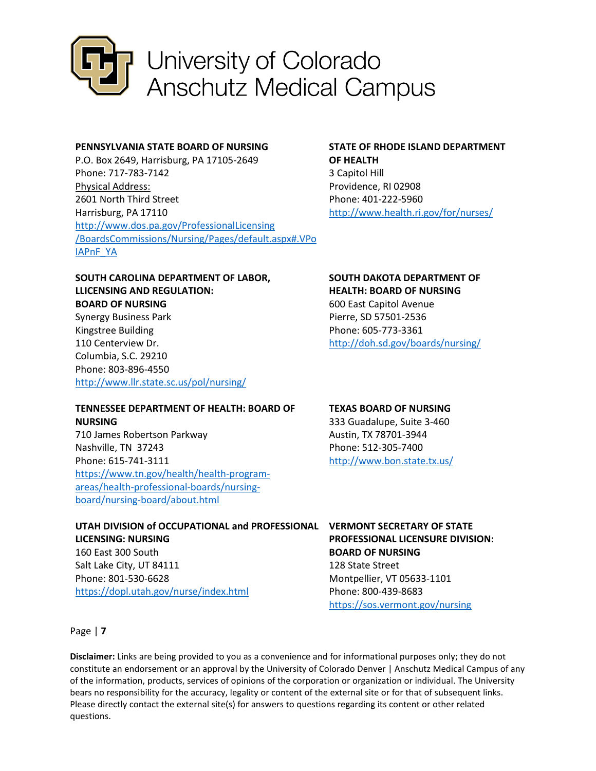

### **PENNSYLVANIA STATE BOARD OF NURSING**

P.O. Box 2649, Harrisburg, PA 17105-2649 Phone: 717-783-7142 Physical Address: 2601 North Third Street Harrisburg, PA 17110 [http://www.dos.pa.gov/ProfessionalLicensing](http://www.dos.pa.gov/ProfessionalLicensing/BoardsCommissions/Nursing/Pages/default.aspx#.VPoIAPnF_YA) [/BoardsCommissions/Nursing/Pages/default.aspx#.VPo](http://www.dos.pa.gov/ProfessionalLicensing/BoardsCommissions/Nursing/Pages/default.aspx#.VPoIAPnF_YA) [IAPnF\\_YA](http://www.dos.pa.gov/ProfessionalLicensing/BoardsCommissions/Nursing/Pages/default.aspx#.VPoIAPnF_YA) 

## **STATE OF RHODE ISLAND DEPARTMENT OF HEALTH**  3 Capitol Hill

Providence, RI 02908 Phone: 401-222-5960 <http://www.health.ri.gov/for/nurses/>

## **SOUTH CAROLINA DEPARTMENT OF LABOR, LLICENSING AND REGULATION: BOARD OF NURSING**

Synergy Business Park Kingstree Building 110 Centerview Dr. Columbia, S.C. 29210 Phone: 803-896-4550 <http://www.llr.state.sc.us/pol/nursing/>

## **TENNESSEE DEPARTMENT OF HEALTH: BOARD OF NURSING**

710 James Robertson Parkway Nashville, TN 37243 Phone: 615-741-3111 [https://www.tn.gov/health/health-program](https://www.tn.gov/health/health-program-areas/health-professional-boards/nursing-board/nursing-board/about.html)[areas/health-professional-boards/nursing](https://www.tn.gov/health/health-program-areas/health-professional-boards/nursing-board/nursing-board/about.html)[board/nursing-board/about.html](https://www.tn.gov/health/health-program-areas/health-professional-boards/nursing-board/nursing-board/about.html) 

#### **UTAH DIVISION of OCCUPATIONAL and PROFESSIONAL VERMONT SECRETARY OF STATE LICENSING: NURSING**

160 East 300 South Salt Lake City, UT 84111 Phone: 801-530-6628 <https://dopl.utah.gov/nurse/index.html>

### **SOUTH DAKOTA DEPARTMENT OF HEALTH: BOARD OF NURSING**

600 East Capitol Avenue Pierre, SD 57501-2536 Phone: 605-773-3361 <http://doh.sd.gov/boards/nursing/>

# **TEXAS BOARD OF NURSING**

333 Guadalupe, Suite 3-460 Austin, TX 78701-3944 Phone: 512-305-7400 <http://www.bon.state.tx.us/>

# **PROFESSIONAL LICENSURE DIVISION: BOARD OF NURSING**  128 State Street

Montpellier, VT 05633-1101 Phone: 800-439-8683 <https://sos.vermont.gov/nursing>

Page | **7**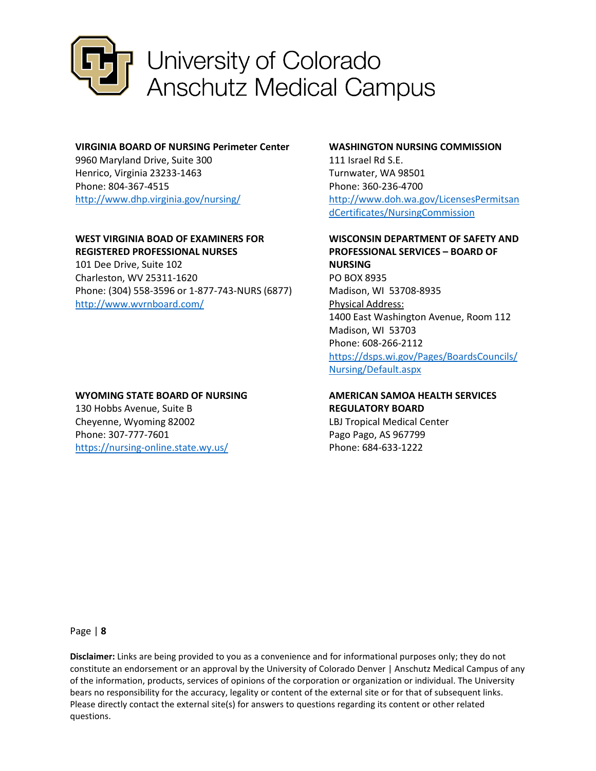

### **VIRGINIA BOARD OF NURSING Perimeter Center**

9960 Maryland Drive, Suite 300 Henrico, Virginia 23233-1463 Phone: 804-367-4515 <http://www.dhp.virginia.gov/nursing/>

# **WEST VIRGINIA BOAD OF EXAMINERS FOR REGISTERED PROFESSIONAL NURSES**

101 Dee Drive, Suite 102 Charleston, WV 25311-1620 Phone: (304) 558-3596 or 1-877-743-NURS (6877) <http://www.wvrnboard.com/>

## **WYOMING STATE BOARD OF NURSING**

130 Hobbs Avenue, Suite B Cheyenne, Wyoming 82002 Phone: 307-777-7601 <https://nursing-online.state.wy.us/>

### **WASHINGTON NURSING COMMISSION**

111 Israel Rd S.E. Turnwater, WA 98501 Phone: 360-236-4700 [http://www.doh.wa.gov/LicensesPermitsan](http://www.doh.wa.gov/LicensesPermitsandCertificates/NursingCommission) [dCertificates/NursingCommission](http://www.doh.wa.gov/LicensesPermitsandCertificates/NursingCommission) 

# **WISCONSIN DEPARTMENT OF SAFETY AND PROFESSIONAL SERVICES – BOARD OF NURSING**

PO BOX 8935 Madison, WI 53708-8935 Physical Address: 1400 East Washington Avenue, Room 112 Madison, WI 53703 Phone: 608-266-2112 [https://dsps.wi.gov/Pages/BoardsCouncils/](https://dsps.wi.gov/Pages/BoardsCouncils/Nursing/Default.aspx) [Nursing/Default.aspx](https://dsps.wi.gov/Pages/BoardsCouncils/Nursing/Default.aspx) 

# **AMERICAN SAMOA HEALTH SERVICES REGULATORY BOARD**

LBJ Tropical Medical Center Pago Pago, AS 967799 Phone: 684-633-1222

Page | **8**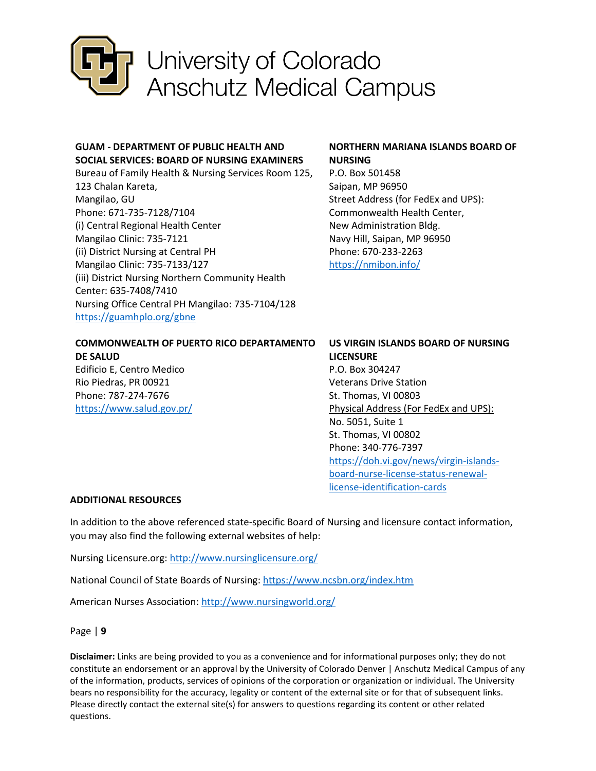

# **GUAM - DEPARTMENT OF PUBLIC HEALTH AND SOCIAL SERVICES: BOARD OF NURSING EXAMINERS**

Bureau of Family Health & Nursing Services Room 125, 123 Chalan Kareta, Mangilao, GU Phone: 671-735-7128/7104 (i) Central Regional Health Center Mangilao Clinic: 735-7121 (ii) District Nursing at Central PH Mangilao Clinic: 735-7133/127 (iii) District Nursing Northern Community Health Center: 635-7408/7410 Nursing Office Central PH Mangilao: 735-7104/128 <https://guamhplo.org/gbne>

# **NORTHERN MARIANA ISLANDS BOARD OF NURSING**

P.O. Box 501458 Saipan, MP 96950 Street Address (for FedEx and UPS): Commonwealth Health Center, New Administration Bldg. Navy Hill, Saipan, MP 96950 Phone: 670-233-2263 <https://nmibon.info/>

| COMMONWEALTH OF PUERTO RICO DEPARTAMENTO |
|------------------------------------------|
| <b>DE SALUD</b>                          |
| _ _ _ _ _ _ _                            |

Edificio E, Centro Medico Rio Piedras, PR 00921 Phone: 787-274-7676 <https://www.salud.gov.pr/> **US VIRGIN ISLANDS BOARD OF NURSING LICENSURE**  P.O. Box 304247 Veterans Drive Station St. Thomas, VI 00803 Physical Address (For FedEx and UPS): No. 5051, Suite 1 St. Thomas, VI 00802 Phone: 340-776-7397 [https://doh.vi.gov/news/virgin-islands](https://doh.vi.gov/news/virgin-islands-board-nurse-license-status-renewal-license-identification-cards)[board-nurse-license-status-renewal](https://doh.vi.gov/news/virgin-islands-board-nurse-license-status-renewal-license-identification-cards)[license-identification-cards](https://doh.vi.gov/news/virgin-islands-board-nurse-license-status-renewal-license-identification-cards)

## **ADDITIONAL RESOURCES**

In addition to the above referenced state-specific Board of Nursing and licensure contact information, you may also find the following external websites of help:

Nursing Licensure.org[: http://www.nursinglicensure.org/](http://www.nursinglicensure.org/) 

National Council of State Boards of Nursing:<https://www.ncsbn.org/index.htm>

American Nurses Association:<http://www.nursingworld.org/>

Page | **9**